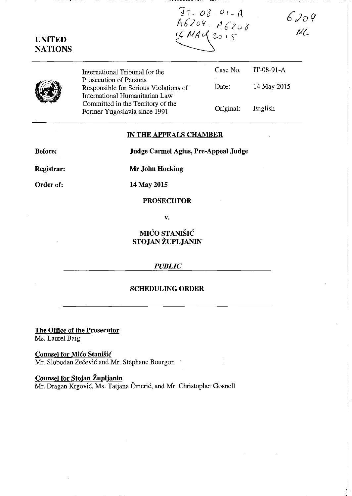$37.08.91 - A$ <br>A6209. A6208

 $6204$ ML

|--|

**UNITED NATIONS** 

> International Tribunal for the Prosecution of Persons Responsible for Serious Violations of International Humanitarian Law Committed in the Territory of the Former Yugoslavia since 1991 Case No. Date: Original: IT-08-91-A 14 May 2015 English

# **IN THE APPEALS CHAMBER**

**Before:** 

**Judge Carmel Agius, Pre-Appeal Judge** 

**Registrar:** 

**Mr John Hocking** 

**Order of:** 

14 May 2015

### **PROSECUTOR**

**v.** 

**MICO STANISIC STOJAN ZUPLJANIN** 

### *PUBLIC*

# **SCHEDULING ORDER**

**The Office of the Prosecutor**  Ms. Laurel Baig

**Counsel for Mico Stanisic**  Mr. Slobodan Zečević and Mr. Stéphane Bourgon

**Counsel for Stojan Zuplianin**  Mr. Dragan Krgović, Ms. Tatjana Čmerić, and Mr. Christopher Gosnell